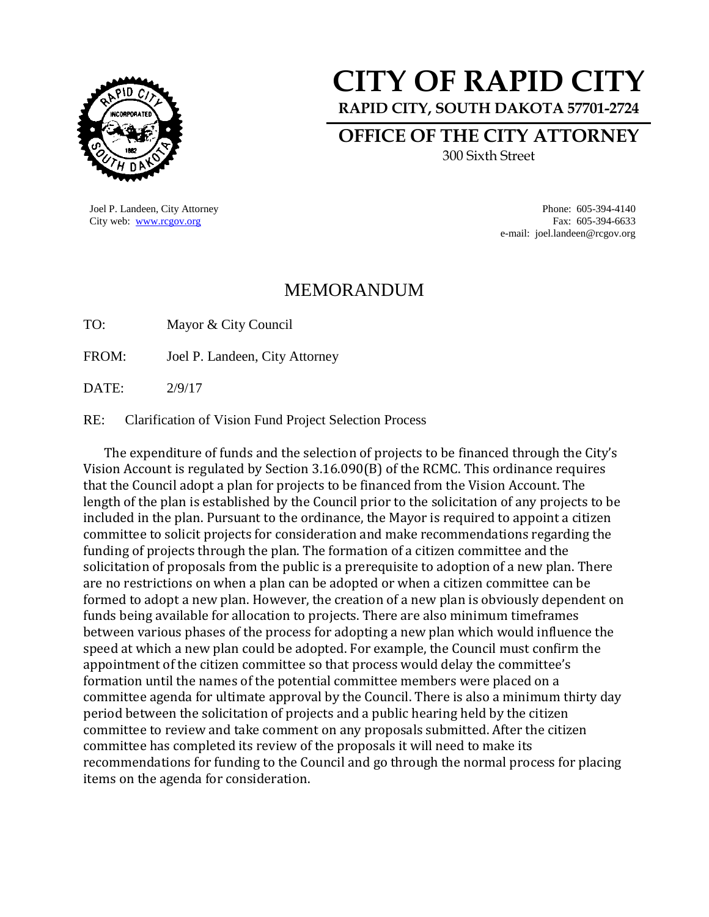

## **CITY OF RAPID CITY**

**RAPID CITY, SOUTH DAKOTA 57701-2724**

**OFFICE OF THE CITY ATTORNEY** 300 Sixth Street

Joel P. Landeen, City Attorney Phone: 605-394-4140 City web: [www.rcgov.org](http://www.rcgov.org/) Fax: 605-394-6633 e-mail: joel.landeen@rcgov.org

## MEMORANDUM

TO: Mayor & City Council

FROM: Joel P. Landeen, City Attorney

DATE: 2/9/17

## RE: Clarification of Vision Fund Project Selection Process

The expenditure of funds and the selection of projects to be financed through the City's Vision Account is regulated by Section 3.16.090(B) of the RCMC. This ordinance requires that the Council adopt a plan for projects to be financed from the Vision Account. The length of the plan is established by the Council prior to the solicitation of any projects to be included in the plan. Pursuant to the ordinance, the Mayor is required to appoint a citizen committee to solicit projects for consideration and make recommendations regarding the funding of projects through the plan. The formation of a citizen committee and the solicitation of proposals from the public is a prerequisite to adoption of a new plan. There are no restrictions on when a plan can be adopted or when a citizen committee can be formed to adopt a new plan. However, the creation of a new plan is obviously dependent on funds being available for allocation to projects. There are also minimum timeframes between various phases of the process for adopting a new plan which would influence the speed at which a new plan could be adopted. For example, the Council must confirm the appointment of the citizen committee so that process would delay the committee's formation until the names of the potential committee members were placed on a committee agenda for ultimate approval by the Council. There is also a minimum thirty day period between the solicitation of projects and a public hearing held by the citizen committee to review and take comment on any proposals submitted. After the citizen committee has completed its review of the proposals it will need to make its recommendations for funding to the Council and go through the normal process for placing items on the agenda for consideration.